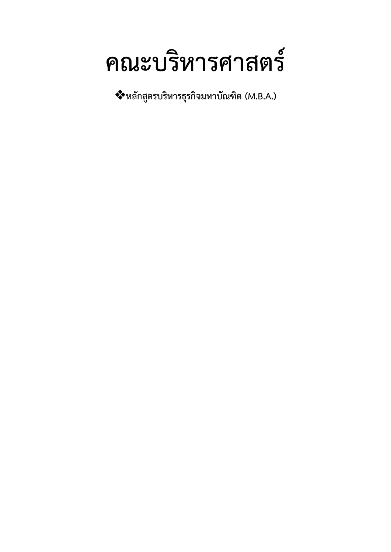# **คณะบริหารศาสตร์**

**หลักสูตรบริหารธุรกิจมหาบัณฑิต (M.B.A.)**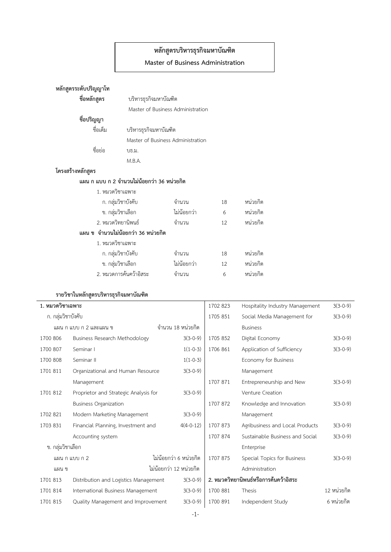## **หลักสูตรบริหารธุรกิจมหาบัณฑิต**

#### **Master of Business Administration**

|                                    | หลักสูตรระดับปริญญาโท                      |                       |             |    |          |  |  |
|------------------------------------|--------------------------------------------|-----------------------|-------------|----|----------|--|--|
|                                    | ชื่อหลักสูตร<br>บริหารธุรกิจมหาบัณฑิต      |                       |             |    |          |  |  |
|                                    | Master of Business Administration          |                       |             |    |          |  |  |
|                                    | ชื่อปริญญา                                 |                       |             |    |          |  |  |
|                                    | ชื่อเต็ม                                   | บริหารธุรกิจมหาบัณฑิต |             |    |          |  |  |
|                                    | Master of Business Administration          |                       |             |    |          |  |  |
|                                    | ชื่อย่อ                                    | บธ.ม.                 |             |    |          |  |  |
|                                    |                                            | M.B.A.                |             |    |          |  |  |
| โครงสร้างหลักสูตร                  |                                            |                       |             |    |          |  |  |
|                                    | แผน ก แบบ ก 2 จำนวนไม่น้อยกว่า 36 หน่วยกิต |                       |             |    |          |  |  |
|                                    | 1. หมวดวิชาเฉพาะ                           |                       |             |    |          |  |  |
|                                    |                                            | ก. กลุ่มวิชาบังคับ    |             | 18 | หน่วยกิต |  |  |
|                                    |                                            | ข. กลุ่มวิชาเลือก     |             | 6  | หน่วยกิต |  |  |
|                                    | 2. หมวดวิทยานิพนธ์                         |                       | จำนวน       | 12 | หน่วยกิต |  |  |
| แผน ข จำนวนไม่น้อยกว่า 36 หน่วยกิต |                                            |                       |             |    |          |  |  |
|                                    | 1. หมวดวิชาเฉพาะ                           |                       |             |    |          |  |  |
|                                    | ก. กลุ่มวิชาบังคับ                         |                       | จำนวน       | 18 | หน่วยกิต |  |  |
|                                    | ข. กลุ่มวิชาเลือก                          |                       | ไม่น้อยกว่า | 12 | หน่วยกิต |  |  |
|                                    | 2. หมวดการค้นคว้าอิสระ                     |                       | จำนวน       | 6  | หน่วยกิต |  |  |
|                                    |                                            |                       |             |    |          |  |  |

#### **รายวิชาในหลักสูตรบริหารธุรกิจมหาบัณฑิต**

| 1. หมวดวิชาเฉพาะ       |                                       |                         | 1702 823 | Hospitality Industry Management       | $3(3-0-9)$  |
|------------------------|---------------------------------------|-------------------------|----------|---------------------------------------|-------------|
| ก. กลุ่มวิชาบังคับ     |                                       |                         | 1705 851 | Social Media Management for           | $3(3-0-9)$  |
| แผน ก แบบ ก 2 และแผน ข |                                       | ี จำนวน 18 หน่วยกิต     |          | <b>Business</b>                       |             |
| 1700 806               | Business Research Methodology         | $3(3-0-9)$              | 1705 852 | Digital Economy                       | $3(3-0-9)$  |
| 1700 807               | Seminar I                             | $1(1-0-3)$              | 1706 861 | Application of Sufficiency            | $3(3-0-9)$  |
| 1700 808               | Seminar II                            | $1(1-0-3)$              |          | Economy for Business                  |             |
| 1701 811               | Organizational and Human Resource     | $3(3-0-9)$              |          | Management                            |             |
|                        | Management                            |                         | 1707 871 | Entrepreneurship and New              | $3(3-0-9)$  |
| 1701 812               | Proprietor and Strategic Analysis for | $3(3-0-9)$              |          | Venture Creation                      |             |
|                        | <b>Business Organization</b>          |                         | 1707 872 | Knowledge and Innovation              | $3(3-0-9)$  |
| 1702 821               | Modern Marketing Management           | $3(3-0-9)$              |          | Management                            |             |
| 1703 831               | Financial Planning, Investment and    | $4(4-0-12)$             | 1707 873 | Agribusiness and Local Products       | $3(3-0-9)$  |
|                        | Accounting system                     |                         | 1707 874 | Sustainable Business and Social       | $3(3-0-9)$  |
| ข. กลุ่มวิชาเลือก      |                                       |                         |          | Enterprise                            |             |
| แผน กแบบ ก 2           |                                       | ไม่น้อยกว่า 6 หน่วยกิต  | 1707 875 | Special Topics for Business           | $3(3-0-9)$  |
| แผน ข                  |                                       | ไม่น้อยกว่า 12 หน่วยกิต |          | Administration                        |             |
| 1701 813               | Distribution and Logistics Management | $3(3-0-9)$              |          | 2. หมวดวิทยานิพนธ์หรือการค้นคว้าอิสระ |             |
| 1701 814               | International Business Management     | $3(3-0-9)$              | 1700 881 | Thesis                                | 12 หน่วยกิต |
| 1701 815               | Quality Management and Improvement    | $3(3-0-9)$              | 1700 891 | Independent Study                     | 6 หน่วยกิต  |